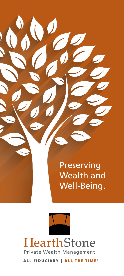Preserving Wealth and Well-Being.



ALL FIDUCIARY | ALL THE TIME<sup>®</sup>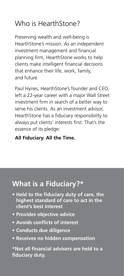# Who is HearthStone?

Preserving wealth and well-being is HearthStone's mission. As an independent investment management and financial planning firm, HearthStone works to help clients make intelligent financial decisions that enhance their life, work, family, and future.

Paul Hynes, HearthStone's founder and CEO, left a 22-year career with a major Wall Street investment firm in search of a better way to serve his clients. As an investment advisor, HearthStone has a fiduciary responsibility to always put clients' interests first. That's the essence of its pledge:

#### **All Fiduciary. All the Time.**

## **What is a Fiduciary?\***

- **• Held to the fiduciary duty of care, the highest standard of care to act in the client's best interest**
- **• Provides objective advice**
- **• Avoids conflicts of interest**
- **• Conducts due diligence**
- **• Receives no hidden compensation**

**\*Not all financial advisers are held to a fiduciary duty.**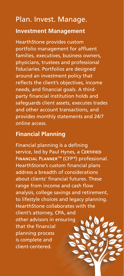## Plan. Invest. Manage. **Investment Management**

HearthStone provides custom portfolio management for affluent families, executives, business owners, physicians, trustees and professional fiduciaries. Portfolios are designed around an investment policy that reflects the client's objectives, income needs, and financial goals. A thirdparty financial institution holds and safeguards client assets, executes trades and other account transactions, and provides monthly statements and 24/7 online access.

#### **Financial Planning**

Financial planning is a defining service, led by Paul Hynes, a C**ERTIFIED** F**INANCIAL** P**LANNER**™ (CFP ®) professional. HearthStone's custom financial plans address a breadth of considerations about clients' financial futures. These range from income and cash flow analysis, college savings and retirement, to lifestyle choices and legacy planning. HearthStone collaborates with the client's attorney, CPA, and other advisors in ensuring that the financial planning process is complete and client-centered.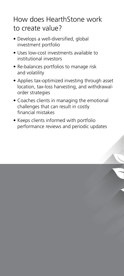### How does HearthStone work to create value?

- Develops a well-diversified, global investment portfolio
- Uses low-cost investments available to institutional investors
- Re-balances portfolios to manage risk and volatility
- Applies tax-optimized investing through asset location, tax-loss harvesting, and withdrawalorder strategies
- Coaches clients in managing the emotional challenges that can result in costly financial mistakes
- Keeps clients informed with portfolio performance reviews and periodic updates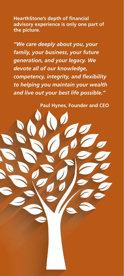**HearthStone's depth of financial advisory experience is only one part of the picture.**

*"We care deeply about you, your family, your business, your future generation, and your legacy. We devote all of our knowledge, competency, integrity, and flexibility to helping you maintain your wealth and live out your best life possible."*

**Paul Hynes, Founder and CEO**